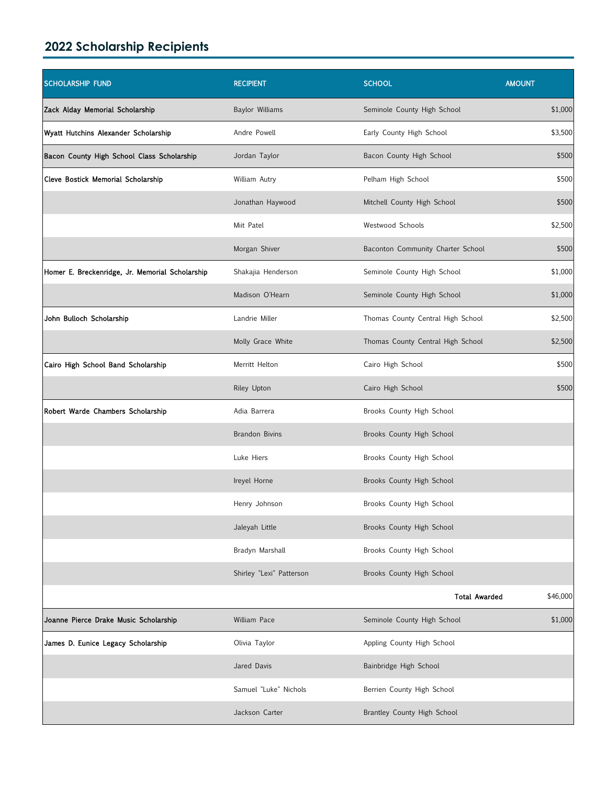## **2022 Scholarship Recipients**

| <b>SCHOLARSHIP FUND</b>                         | <b>RECIPIENT</b>         | <b>SCHOOL</b>                     | <b>AMOUNT</b> |
|-------------------------------------------------|--------------------------|-----------------------------------|---------------|
| Zack Alday Memorial Scholarship                 | Baylor Williams          | Seminole County High School       | \$1,000       |
| Wyatt Hutchins Alexander Scholarship            | Andre Powell             | Early County High School          | \$3,500       |
| Bacon County High School Class Scholarship      | Jordan Taylor            | Bacon County High School          | \$500         |
| Cleve Bostick Memorial Scholarship              | William Autry            | Pelham High School                | \$500         |
|                                                 | Jonathan Haywood         | Mitchell County High School       | \$500         |
|                                                 | Miit Patel               | Westwood Schools                  | \$2,500       |
|                                                 | Morgan Shiver            | Baconton Community Charter School | \$500         |
| Homer E. Breckenridge, Jr. Memorial Scholarship | Shakajia Henderson       | Seminole County High School       | \$1,000       |
|                                                 | Madison O'Hearn          | Seminole County High School       | \$1,000       |
| John Bulloch Scholarship                        | Landrie Miller           | Thomas County Central High School | \$2,500       |
|                                                 | Molly Grace White        | Thomas County Central High School | \$2,500       |
| Cairo High School Band Scholarship              | Merritt Helton           | Cairo High School                 | \$500         |
|                                                 | Riley Upton              | Cairo High School                 | \$500         |
| Robert Warde Chambers Scholarship               | Adia Barrera             | Brooks County High School         |               |
|                                                 | <b>Brandon Bivins</b>    | Brooks County High School         |               |
|                                                 | Luke Hiers               | Brooks County High School         |               |
|                                                 | Ireyel Horne             | Brooks County High School         |               |
|                                                 | Henry Johnson            | Brooks County High School         |               |
|                                                 | Jaleyah Little           | Brooks County High School         |               |
|                                                 | Bradyn Marshall          | Brooks County High School         |               |
|                                                 | Shirley "Lexi" Patterson | Brooks County High School         |               |
|                                                 |                          | <b>Total Awarded</b>              | \$46,000      |
| Joanne Pierce Drake Music Scholarship           | William Pace             | Seminole County High School       | \$1,000       |
| James D. Eunice Legacy Scholarship              | Olivia Taylor            | Appling County High School        |               |
|                                                 | Jared Davis              | Bainbridge High School            |               |
|                                                 | Samuel "Luke" Nichols    | Berrien County High School        |               |
|                                                 | Jackson Carter           | Brantley County High School       |               |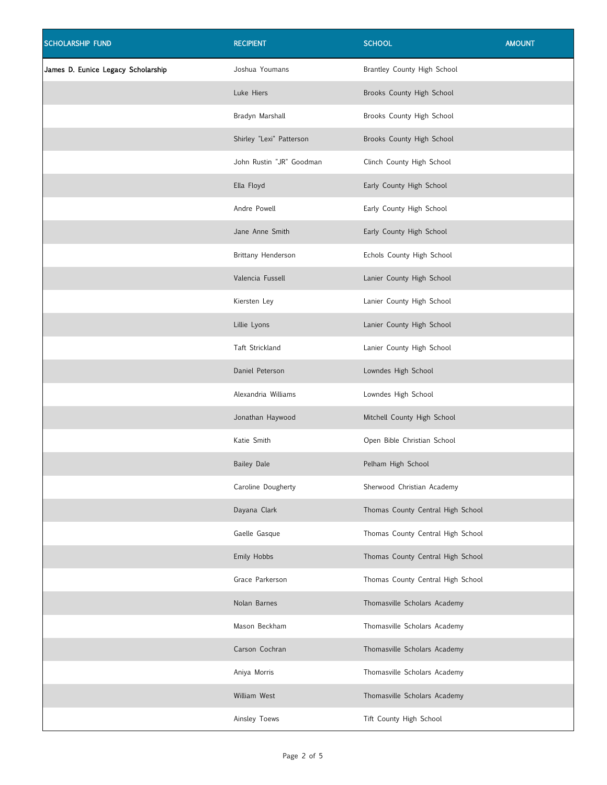| <b>SCHOLARSHIP FUND</b>            | <b>RECIPIENT</b>         | <b>SCHOOL</b>                     | <b>AMOUNT</b> |
|------------------------------------|--------------------------|-----------------------------------|---------------|
| James D. Eunice Legacy Scholarship | Joshua Youmans           | Brantley County High School       |               |
|                                    | Luke Hiers               | Brooks County High School         |               |
|                                    | Bradyn Marshall          | Brooks County High School         |               |
|                                    | Shirley "Lexi" Patterson | Brooks County High School         |               |
|                                    | John Rustin "JR" Goodman | Clinch County High School         |               |
|                                    | Ella Floyd               | Early County High School          |               |
|                                    | Andre Powell             | Early County High School          |               |
|                                    | Jane Anne Smith          | Early County High School          |               |
|                                    | Brittany Henderson       | Echols County High School         |               |
|                                    | Valencia Fussell         | Lanier County High School         |               |
|                                    | Kiersten Ley             | Lanier County High School         |               |
|                                    | Lillie Lyons             | Lanier County High School         |               |
|                                    | Taft Strickland          | Lanier County High School         |               |
|                                    | Daniel Peterson          | Lowndes High School               |               |
|                                    | Alexandria Williams      | Lowndes High School               |               |
|                                    | Jonathan Haywood         | Mitchell County High School       |               |
|                                    | Katie Smith              | Open Bible Christian School       |               |
|                                    | <b>Bailey Dale</b>       | Pelham High School                |               |
|                                    | Caroline Dougherty       | Sherwood Christian Academy        |               |
|                                    | Dayana Clark             | Thomas County Central High School |               |
|                                    | Gaelle Gasque            | Thomas County Central High School |               |
|                                    | Emily Hobbs              | Thomas County Central High School |               |
|                                    | Grace Parkerson          | Thomas County Central High School |               |
|                                    | Nolan Barnes             | Thomasville Scholars Academy      |               |
|                                    | Mason Beckham            | Thomasville Scholars Academy      |               |
|                                    | Carson Cochran           | Thomasville Scholars Academy      |               |
|                                    | Aniya Morris             | Thomasville Scholars Academy      |               |
|                                    | William West             | Thomasville Scholars Academy      |               |
|                                    | Ainsley Toews            | Tift County High School           |               |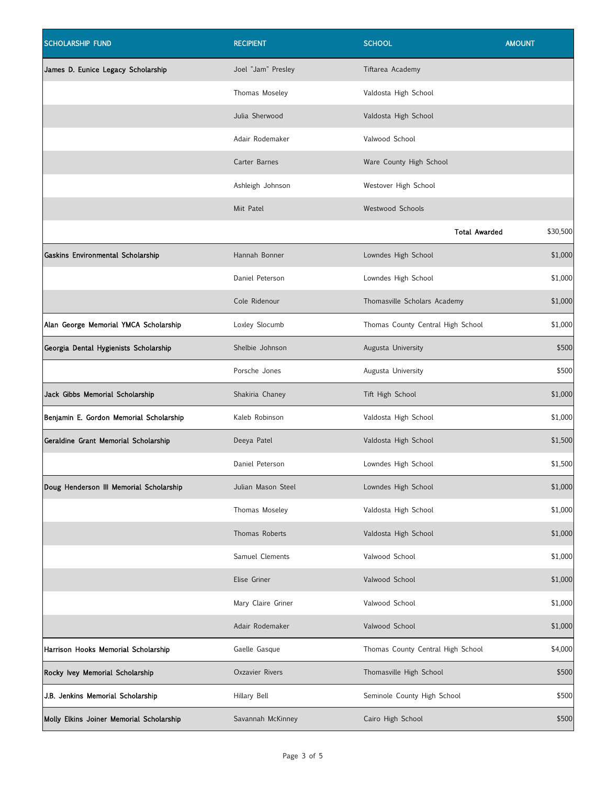| <b>SCHOLARSHIP FUND</b>                  | <b>RECIPIENT</b>   | <b>SCHOOL</b>                     | <b>AMOUNT</b> |
|------------------------------------------|--------------------|-----------------------------------|---------------|
| James D. Eunice Legacy Scholarship       | Joel "Jam" Presley | Tiftarea Academy                  |               |
|                                          | Thomas Moseley     | Valdosta High School              |               |
|                                          | Julia Sherwood     | Valdosta High School              |               |
|                                          | Adair Rodemaker    | Valwood School                    |               |
|                                          | Carter Barnes      | Ware County High School           |               |
|                                          | Ashleigh Johnson   | Westover High School              |               |
|                                          | Miit Patel         | <b>Westwood Schools</b>           |               |
|                                          |                    | <b>Total Awarded</b>              | \$30,500      |
| Gaskins Environmental Scholarship        | Hannah Bonner      | Lowndes High School               | \$1,000       |
|                                          | Daniel Peterson    | Lowndes High School               | \$1,000       |
|                                          | Cole Ridenour      | Thomasville Scholars Academy      | \$1,000       |
| Alan George Memorial YMCA Scholarship    | Loxley Slocumb     | Thomas County Central High School | \$1,000       |
| Georgia Dental Hygienists Scholarship    | Shelbie Johnson    | Augusta University                | \$500         |
|                                          | Porsche Jones      | Augusta University                | \$500         |
| Jack Gibbs Memorial Scholarship          | Shakiria Chaney    | Tift High School                  | \$1,000       |
| Benjamin E. Gordon Memorial Scholarship  | Kaleb Robinson     | Valdosta High School              | \$1,000       |
| Geraldine Grant Memorial Scholarship     | Deeya Patel        | Valdosta High School              | \$1,500       |
|                                          | Daniel Peterson    | Lowndes High School               | \$1,500       |
| Doug Henderson III Memorial Scholarship  | Julian Mason Steel | Lowndes High School               | \$1,000       |
|                                          | Thomas Moseley     | Valdosta High School              | \$1,000       |
|                                          | Thomas Roberts     | Valdosta High School              | \$1,000       |
|                                          | Samuel Clements    | Valwood School                    | \$1,000       |
|                                          | Elise Griner       | Valwood School                    | \$1,000       |
|                                          | Mary Claire Griner | Valwood School                    | \$1,000       |
|                                          | Adair Rodemaker    | Valwood School                    | \$1,000       |
| Harrison Hooks Memorial Scholarship      | Gaelle Gasque      | Thomas County Central High School | \$4,000       |
| Rocky Ivey Memorial Scholarship          | Oxzavier Rivers    | Thomasville High School           | \$500         |
| J.B. Jenkins Memorial Scholarship        | Hillary Bell       | Seminole County High School       | \$500         |
| Molly Elkins Joiner Memorial Scholarship | Savannah McKinney  | Cairo High School                 | \$500         |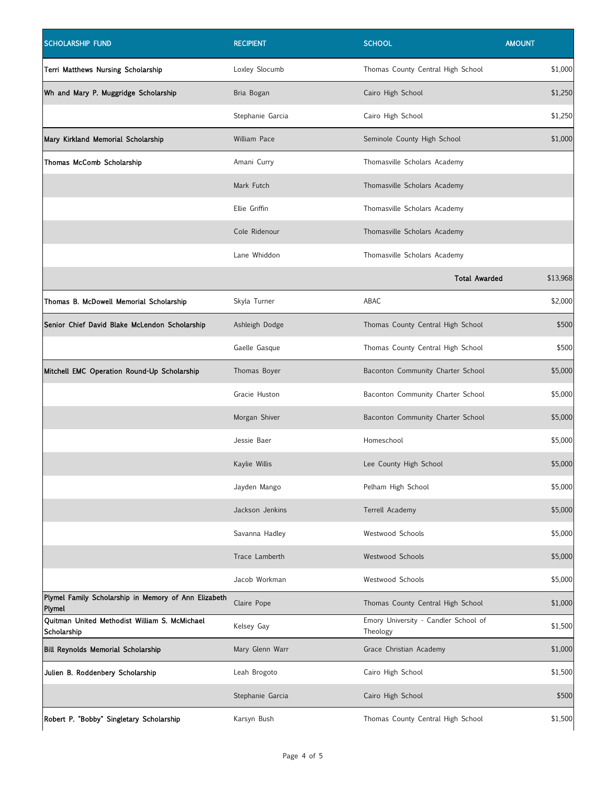| <b>SCHOLARSHIP FUND</b>                                        | <b>RECIPIENT</b> | <b>SCHOOL</b>                                    | <b>AMOUNT</b> |
|----------------------------------------------------------------|------------------|--------------------------------------------------|---------------|
| Terri Matthews Nursing Scholarship                             | Loxley Slocumb   | Thomas County Central High School                | \$1,000       |
| Wh and Mary P. Muggridge Scholarship                           | Bria Bogan       | Cairo High School                                | \$1,250       |
|                                                                | Stephanie Garcia | Cairo High School                                | \$1,250       |
| Mary Kirkland Memorial Scholarship                             | William Pace     | Seminole County High School                      | \$1,000       |
| Thomas McComb Scholarship                                      | Amani Curry      | Thomasville Scholars Academy                     |               |
|                                                                | Mark Futch       | Thomasville Scholars Academy                     |               |
|                                                                | Ellie Griffin    | Thomasville Scholars Academy                     |               |
|                                                                | Cole Ridenour    | Thomasville Scholars Academy                     |               |
|                                                                | Lane Whiddon     | Thomasville Scholars Academy                     |               |
|                                                                |                  | <b>Total Awarded</b>                             | \$13,968      |
| Thomas B. McDowell Memorial Scholarship                        | Skyla Turner     | ABAC                                             | \$2,000       |
| Senior Chief David Blake McLendon Scholarship                  | Ashleigh Dodge   | Thomas County Central High School                | \$500         |
|                                                                | Gaelle Gasque    | Thomas County Central High School                | \$500         |
| Mitchell EMC Operation Round-Up Scholarship                    | Thomas Boyer     | Baconton Community Charter School                | \$5,000       |
|                                                                | Gracie Huston    | Baconton Community Charter School                | \$5,000       |
|                                                                | Morgan Shiver    | Baconton Community Charter School                | \$5,000       |
|                                                                | Jessie Baer      | Homeschool                                       | \$5,000       |
|                                                                | Kaylie Willis    | Lee County High School                           | \$5,000       |
|                                                                | Jayden Mango     | Pelham High School                               | \$5,000       |
|                                                                | Jackson Jenkins  | Terrell Academy                                  | \$5,000       |
|                                                                | Savanna Hadley   | Westwood Schools                                 | \$5,000       |
|                                                                | Trace Lamberth   | Westwood Schools                                 | \$5,000       |
|                                                                | Jacob Workman    | Westwood Schools                                 | \$5,000       |
| Plymel Family Scholarship in Memory of Ann Elizabeth<br>Plymel | Claire Pope      | Thomas County Central High School                | \$1,000       |
| Quitman United Methodist William S. McMichael<br>Scholarship   | Kelsey Gay       | Emory University - Candler School of<br>Theology | \$1,500       |
| Bill Reynolds Memorial Scholarship                             | Mary Glenn Warr  | Grace Christian Academy                          | \$1,000       |
| Julien B. Roddenbery Scholarship                               | Leah Brogoto     | Cairo High School                                | \$1,500       |
|                                                                | Stephanie Garcia | Cairo High School                                | \$500         |
| Robert P. "Bobby" Singletary Scholarship                       | Karsyn Bush      | Thomas County Central High School                | \$1,500       |